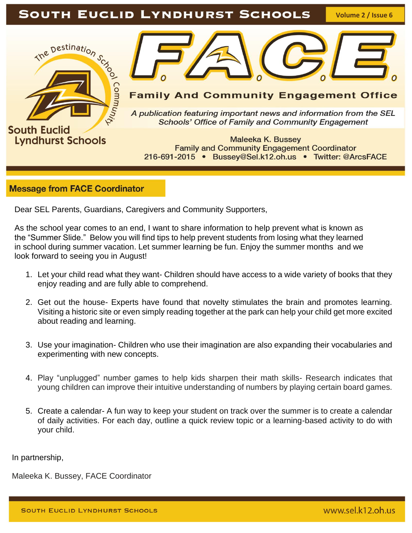# SOUTH EUCLID LYNDHURST SCHOOLS

**Volume 2 / Issue 6**



**Lyndhurst Schools** 



## **Family And Community Engagement Office**

A publication featuring important news and information from the SEL **Schools' Office of Family and Community Engagement** 

**Maleeka K. Bussey Family and Community Engagement Coordinator** 216-691-2015 • Bussey@Sel.k12.oh.us • Twitter: @ArcsFACE

### **Message from FACE Coordinator**

Dear SEL Parents, Guardians, Caregivers and Community Supporters,

As the school year comes to an end, I want to share information to help prevent what is known as the "Summer Slide." Below you will find tips to help prevent students from losing what they learned in school during summer vacation. Let summer learning be fun. Enjoy the summer months and we look forward to seeing you in August!

- 1. Let your child read what they want- Children should have access to a wide variety of books that they enjoy reading and are fully able to comprehend.
- 2. Get out the house- Experts have found that novelty stimulates the brain and promotes learning. Visiting a historic site or even simply reading together at the park can help your child get more excited about reading and learning.
- 3. Use your imagination- Children who use their imagination are also expanding their vocabularies and experimenting with new concepts.
- 4. Play "unplugged" number games to help kids sharpen their math skills- Research indicates that young children can improve their intuitive understanding of numbers by playing certain board games.
- 5. Create a calendar- A fun way to keep your student on track over the summer is to create a calendar of daily activities. For each day, outline a quick review topic or a learning-based activity to do with your child.

In partnership,

Maleeka K. Bussey, FACE Coordinator